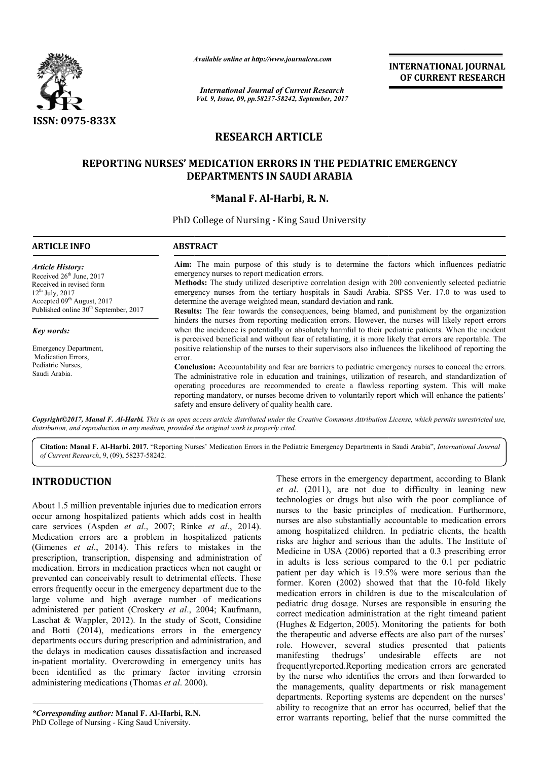

*Available online at http://www.journal*

# **RESEARCH ARTICLE**

# **REPORTING NURSES' MEDICATION ERRORS IN THE PEDIATRIC EMERGENCY DEPARTMENTS IN SAUDI ARABIA**

# **\*Manal F. Al-Harbi, R. N.**

| <b>ISSN: 0975-833X</b>                                                                                                                                                                                 | Available online at http://www.journalcra.com<br><b>International Journal of Current Research</b><br>Vol. 9, Issue, 09, pp.58237-58242, September, 2017                                                                                                                                                                                                                                                                                                                                                                | <b>INTERNATIONAL JOURNAL</b><br>OF CURRENT RESEARCH |  |  |  |
|--------------------------------------------------------------------------------------------------------------------------------------------------------------------------------------------------------|------------------------------------------------------------------------------------------------------------------------------------------------------------------------------------------------------------------------------------------------------------------------------------------------------------------------------------------------------------------------------------------------------------------------------------------------------------------------------------------------------------------------|-----------------------------------------------------|--|--|--|
|                                                                                                                                                                                                        | <b>RESEARCH ARTICLE</b>                                                                                                                                                                                                                                                                                                                                                                                                                                                                                                |                                                     |  |  |  |
|                                                                                                                                                                                                        | REPORTING NURSES' MEDICATION ERRORS IN THE PEDIATRIC EMERGENCY<br>DEPARTMENTS IN SAUDI ARABIA<br>*Manal F. Al-Harbi, R. N.                                                                                                                                                                                                                                                                                                                                                                                             |                                                     |  |  |  |
|                                                                                                                                                                                                        | PhD College of Nursing - King Saud University                                                                                                                                                                                                                                                                                                                                                                                                                                                                          |                                                     |  |  |  |
| <b>ARTICLE INFO</b>                                                                                                                                                                                    | <b>ABSTRACT</b>                                                                                                                                                                                                                                                                                                                                                                                                                                                                                                        |                                                     |  |  |  |
| <b>Article History:</b><br>Received 26 <sup>th</sup> June, 2017<br>Received in revised form<br>$12^{th}$ July, 2017<br>Accepted 09th August, 2017<br>Published online 30 <sup>th</sup> September, 2017 | Aim: The main purpose of this study is to determine the factors which influences pediatric<br>emergency nurses to report medication errors.<br>Methods: The study utilized descriptive correlation design with 200 conveniently selected pediatric<br>emergency nurses from the tertiary hospitals in Saudi Arabia. SPSS Ver. 17.0 to was used to<br>determine the average weighted mean, standard deviation and rank.<br>Results: The fear towards the consequences, being blamed, and punishment by the organization |                                                     |  |  |  |
| Key words:<br>Emergency Department,<br>Medication Errors,                                                                                                                                              | hinders the nurses from reporting medication errors. However, the nurses will likely report errors<br>when the incidence is potentially or absolutely harmful to their pediatric patients. When the incident<br>is perceived beneficial and without fear of retaliating, it is more likely that errors are reportable. The<br>positive relationship of the nurses to their supervisors also influences the likelihood of reporting the<br>error.                                                                       |                                                     |  |  |  |
| Pediatric Nurses,<br>Saudi Arabia.                                                                                                                                                                     | Conclusion: Accountability and fear are barriers to pediatric emergency nurses to conceal the errors.<br>The administrative role in education and trainings, utilization of research, and standardization of<br>operating procedures are recommended to create a flawless reporting system. This will make<br>reporting mandatory, or nurses become driven to voluntarily report which will enhance the patients'<br>safety and ensure delivery of quality health care.                                                |                                                     |  |  |  |
|                                                                                                                                                                                                        | Copyright©2017, Manal F. Al-Harbi. This is an open access article distributed under the Creative Commons Attribution License, which permits unrestricted use,<br>distribution, and reproduction in any medium, provided the original work is properly cited.                                                                                                                                                                                                                                                           |                                                     |  |  |  |
|                                                                                                                                                                                                        | Citation: Manal F. Al-Harbi. 2017. "Reporting Nurses' Medication Errors in the Pediatric Emergency Departments in Saudi Arabia", International Journal                                                                                                                                                                                                                                                                                                                                                                 |                                                     |  |  |  |

Citation: Manal F. Al-Harbi. 2017. "Reporting Nurses' Medication Errors in the Pediatric Emergency Departments in Saudi Arabia", *International Journal of Current Research*, 9, (09), 58237-58242.

# **INTRODUCTION**

About 1.5 million preventable injuries due to medication errors occur among hospitalized patients which adds cost in health care services (Aspden *et al*., 2007; Rinke *et al*., 2014). Medication errors are a problem in hospitalized patients (Gimenes *et al*., 2014). This refers to mistakes in the prescription, transcription, dispensing and administration of medication. Errors in medication practices when not caught or prevented can conceivably result to detrimental effects. These errors frequently occur in the emergency department due to the large volume and high average number of medications administered per patient (Croskery *et al*., 2004; Kaufmann, Laschat & Wappler, 2012). In the study of Scott, Considine and Botti (2014), medications errors in the emergency departments occurs during prescription and administration, and the delays in medication causes dissatisfaction and increased in-patient mortality. Overcrowding in emergency units has been identified as the primary factor inviting errorsin administering medications (Thomas *et al*. 2000).

*\*Corresponding author:* **Manal F. Al-Harbi, R.N.** PhD College of Nursing - King Saud University.

These errors in the emergency department, according to<br>
ies due to medication errors<br>
at the colifficulty in leanin<br>
which adds cost in health<br>
which adds cost in health<br>
which adds cost in health<br>
musics are also substant *et al*. (2011), are not due to difficulty in leaning new technologies or drugs but also with the poor compliance of nurses to the basic principles of medication. Furthermore, nurses are also substantially accountable to medication errors among hospitalized children. In pediatric clients, the health risks are higher and serious than the adults. The Institute of Medicine in USA (2006) reported that a 0.3 prescribing error in adults is less serious compared to the  $0.1$  per pediatric patient per day which is 19.5% were more serious than the former. Koren (2002) showed that that the 10 10-fold likely medication errors in children is due to the miscalculation of pediatric drug dosage. Nurses are responsible in ensuring the correct medication administration at the right timeand patient (Hughes & Edgerton, 2005). Monitoring the patients for both the therapeutic and adverse effects are also part of the nurses' role. However, several studies presented that patients<br>manifesting the<br>drugs' undesirable effects are not manifesting thedrugs' undesirable effects are not frequentlyreported.Reporting medication errors are generated by the nurse who identifies the errors and then forwarded to the managements, quality departments or risk management departments. Reporting systems are dependent on the nurses' ability to recognize that an error has occurred, belief that the error warrants reporting, belief that the nurse committed the These errors in the emergency department, according to Blank  $(2011)$ , are not due to difficulty in leaning new ogies or drugs but also with the poor compliance of to the basic principles of medication. Furthermore, are also substantially accountable to medication errors beyondered children. In pediatric clients, the health higher and serious than the adults. The Institute of in USA (2006) reported that a 0.3 prescribing error is less serious compared to the 0.1 per pediatric medication errors in children is due to the miscalculation of pediatric drug dosage. Nurses are responsible in ensuring the correct medication administration at the right time and patient (Hughes & Edgerton, 2005). Monitor **EXERCIS CONSTRAINT CONAL FORMATION CONSTRAINT CONSTRAINT CONSTRAINT CONSTRAINT ON THE EVENT CONSTRAINT ON THE CONSTRAINT CONSTRAINT THE CONSTRAINT CONSTRAINT THE CONSTRAINT THE CONSTRAINT CONSTRAINT (I) THE PEDITATING CON**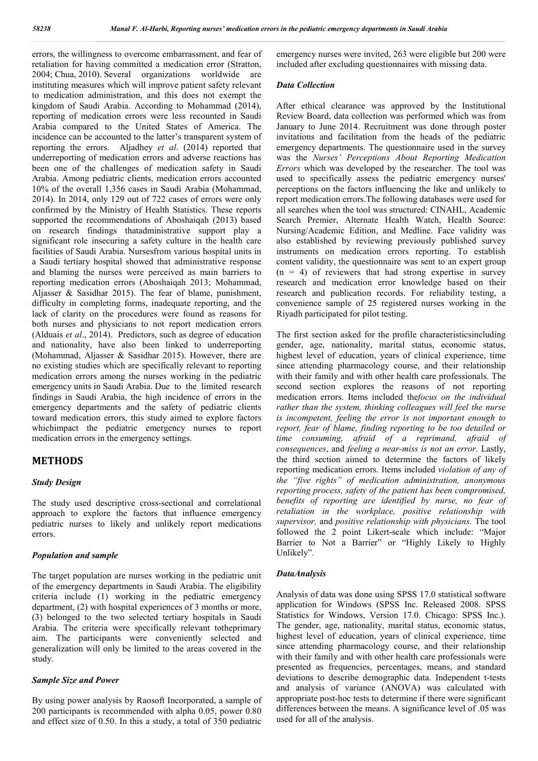errors, the willingness to overcome embarrassment, and fear of retaliation for having committed a medication error (Stratton, 2004; Chua, 2010). Several organizations worldwide are instituting measures which will improve patient safety relevant to medication administration, and this does not exempt the kingdom of Saudi Arabia. According to Mohammad (2014), reporting of medication errors were less recounted in Saudi Arabia compared to the United States of America. The incidence can be accounted to the latter's transparent system of reporting the errors. Aljadhey *et al*. (2014) reported that underreporting of medication errors and adverse reactions has been one of the challenges of medication safety in Saudi Arabia. Among pediatric clients, medication errors accounted 10% of the overall 1,356 cases in Saudi Arabia (Mohammad, 2014). In 2014, only 129 out of 722 cases of errors were only confirmed by the Ministry of Health Statistics. These reports supported the recommendations of Aboshaiqah (2013) based on research findings thatadministrative support play a significant role insecuring a safety culture in the health care facilities of Saudi Arabia. Nursesfrom various hospital units in a Saudi tertiary hospital showed that administrative response and blaming the nurses were perceived as main barriers to reporting medication errors (Aboshaiqah 2013; Mohammad, Aljasser & Sasidhar 2015). The fear of blame, punishment, difficulty in completing forms, inadequate reporting, and the lack of clarity on the procedures were found as reasons for both nurses and physicians to not report medication errors (Alduais *et al*., 2014). Predictors, such as degree of education and nationality, have also been linked to underreporting (Mohammad, Aljasser & Sasidhar 2015). However, there are no existing studies which are specifically relevant to reporting medication errors among the nurses working in the pediatric emergency units in Saudi Arabia. Due to the limited research findings in Saudi Arabia, the high incidence of errors in the emergency departments and the safety of pediatric clients toward medication errors, this study aimed to explore factors whichimpact the pediatric emergency nurses to report medication errors in the emergency settings.

## **METHODS**

## *Study Design*

The study used descriptive cross-sectional and correlational approach to explore the factors that influence emergency pediatric nurses to likely and unlikely report medications errors.

### *Population and sample*

The target population are nurses working in the pediatric unit of the emergency departments in Saudi Arabia. The eligibility criteria include (1) working in the pediatric emergency department, (2) with hospital experiences of 3 months or more, (3) belonged to the two selected tertiary hospitals in Saudi Arabia. The criteria were specifically relevant totheprimary aim. The participants were conveniently selected and generalization will only be limited to the areas covered in the study.

## *Sample Size and Power*

By using power analysis by Raosoft Incorporated, a sample of 200 participants is recommended with alpha 0.05, power 0.80 and effect size of 0.50. In this a study, a total of 350 pediatric

emergency nurses were invited, 263 were eligible but 200 were included after excluding questionnaires with missing data.

### *Data Collection*

After ethical clearance was approved by the Institutional Review Board, data collection was performed which was from January to June 2014. Recruitment was done through poster invitations and facilitation from the heads of the pediatric emergency departments. The questionnaire used in the survey was the *Nurses' Perceptions About Reporting Medication Errors* which was developed by the researcher. The tool was used to specifically assess the pediatric emergency nurses' perceptions on the factors influencing the like and unlikely to report medication errors.The following databases were used for all searches when the tool was structured: CINAHL, Academic Search Premier, Alternate Health Watch, Health Source: Nursing/Academic Edition, and Medline. Face validity was also established by reviewing previously published survey instruments on medication errors reporting. To establish content validity, the questionnaire was sent to an expert group  $(n = 4)$  of reviewers that had strong expertise in survey research and medication error knowledge based on their research and publication records. For reliability testing, a convenience sample of 25 registered nurses working in the Riyadh participated for pilot testing.

The first section asked for the profile characteristicsincluding gender, age, nationality, marital status, economic status, highest level of education, years of clinical experience, time since attending pharmacology course, and their relationship with their family and with other health care professionals. The second section explores the reasons of not reporting medication errors. Items included the*focus on the individual rather than the system, thinking colleagues will feel the nurse is incompetent, feeling the error is not important enough to report, fear of blame, finding reporting to be too detailed or time consuming, afraid of a reprimand, afraid of consequences*, and *feeling a near-miss is not an error*. Lastly, the third section aimed to determine the factors of likely reporting medication errors. Items included *violation of any of the "five rights" of medication administration, anonymous reporting process, safety of the patient has been compromised, benefits of reporting are identified by nurse, no fear of retaliation in the workplace, positive relationship with supervisor,* and *positive relationship with physicians.* The tool followed the 2 point Likert-scale which include: "Major Barrier to Not a Barrier" or "Highly Likely to Highly Unlikely".

### *DataAnalysis*

Analysis of data was done using SPSS 17.0 statistical software application for Windows (SPSS Inc. Released 2008. SPSS Statistics for Windows, Version 17.0. Chicago: SPSS Inc.). The gender, age, nationality, marital status, economic status, highest level of education, years of clinical experience, time since attending pharmacology course, and their relationship with their family and with other health care professionals were presented as frequencies, percentages, means, and standard deviations to describe demographic data. Independent t-tests and analysis of variance (ANOVA) was calculated with appropriate post-hoc tests to determine if there were significant differences between the means. A significance level of .05 was used for all of the analysis.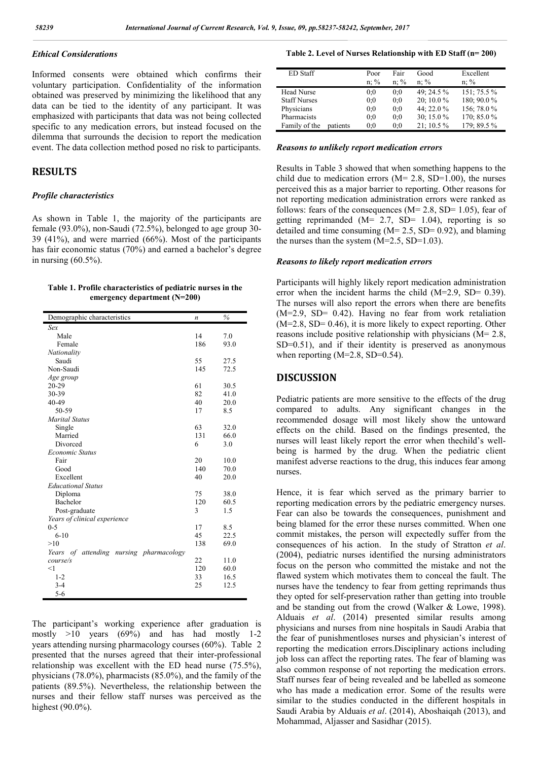# *Ethical Considerations*

Informed consents were obtained which confirms their voluntary participation. Confidentiality of the information obtained was preserved by minimizing the likelihood that any data can be tied to the identity of any participant. It was emphasized with participants that data was not being collected specific to any medication errors, but instead focused on the dilemma that surrounds the decision to report the medication event. The data collection method posed no risk to participants.

# **RESULTS**

### *Profile characteristics*

As shown in Table 1, the majority of the participants are female (93.0%), non-Saudi (72.5%), belonged to age group 30- 39 (41%), and were married (66%). Most of the participants has fair economic status (70%) and earned a bachelor's degree in nursing (60.5%).

#### **Table 1. Profile characteristics of pediatric nurses in the emergency department (N=200)**

| Demographic characteristics                | $\boldsymbol{n}$ | $\%$ |
|--------------------------------------------|------------------|------|
| Sex                                        |                  |      |
| Male                                       | 14               | 7.0  |
| Female                                     | 186              | 93.0 |
| Nationality                                |                  |      |
| Saudi                                      | 55               | 27.5 |
| Non-Saudi                                  | 145              | 72.5 |
| Age group                                  |                  |      |
| 20-29                                      | 61               | 30.5 |
| 30-39                                      | 82               | 41.0 |
| 40-49                                      | 40               | 20.0 |
| 50-59                                      | 17               | 8.5  |
| <b>Marital Status</b>                      |                  |      |
| Single                                     | 63               | 32.0 |
| Married                                    | 131              | 66.0 |
| Divorced                                   | 6                | 3.0  |
| <b>Economic Status</b>                     |                  |      |
| Fair                                       | 20               | 10.0 |
| Good                                       | 140              | 70.0 |
| Excellent                                  | 40               | 20.0 |
| <b>Educational Status</b>                  |                  |      |
| Diploma                                    | 75               | 38.0 |
| Bachelor                                   | 120              | 60.5 |
| Post-graduate                              | 3                | 1.5  |
| Years of clinical experience               |                  |      |
| $0 - 5$                                    | 17               | 8.5  |
| $6 - 10$                                   | 45               | 22.5 |
| >10                                        | 138              | 69.0 |
| Years<br>of attending nursing pharmacology |                  |      |
| course/s                                   | 22               | 11.0 |
| <1                                         | 120              | 60.0 |
| $1 - 2$                                    | 33               | 16.5 |
| $3 - 4$                                    | 25               | 12.5 |
| $5 - 6$                                    |                  |      |

The participant's working experience after graduation is mostly  $>10$  years (69%) and has had mostly 1-2 years attending nursing pharmacology courses (60%). Table 2 presented that the nurses agreed that their inter-professional relationship was excellent with the ED head nurse (75.5%), physicians (78.0%), pharmacists (85.0%), and the family of the patients (89.5%). Nevertheless, the relationship between the nurses and their fellow staff nurses was perceived as the highest (90.0%).

#### **Table 2. Level of Nurses Relationship with ED Staff (n= 200)**

| ED Staff            |          | Poor<br>$n: \%$ | Fair<br>$n: \%$ | Good<br>$n: \%$ | Excellent<br>$n: \%$ |
|---------------------|----------|-----------------|-----------------|-----------------|----------------------|
| <b>Head Nurse</b>   | patients | 0:0             | 0:0             | 49; 24.5 %      | 151; 75.5%           |
| <b>Staff Nurses</b> |          | 0:0             | 0:0             | $20:10.0\%$     | 180; 90.0%           |
| Physicians          |          | 0:0             | 0:0             | 44; 22.0%       | 156; 78.0%           |
| Pharmacists         |          | 0:0             | 0:0             | 30; 15.0 %      | 170; 85.0%           |
| Family of the       |          | 0:0             | 0:0             | $21:10.5\%$     | 179:89.5%            |

### *Reasons to unlikely report medication errors*

Results in Table 3 showed that when something happens to the child due to medication errors ( $M= 2.8$ , SD=1.00), the nurses perceived this as a major barrier to reporting. Other reasons for not reporting medication administration errors were ranked as follows: fears of the consequences  $(M= 2.8, SD= 1.05)$ , fear of getting reprimanded  $(M= 2.7, SD= 1.04)$ , reporting is so detailed and time consuming  $(M= 2.5, SD= 0.92)$ , and blaming the nurses than the system  $(M=2.5, SD=1.03)$ .

#### *Reasons to likely report medication errors*

Participants will highly likely report medication administration error when the incident harms the child  $(M=2.9, SD= 0.39)$ . The nurses will also report the errors when there are benefits (M=2.9, SD= 0.42). Having no fear from work retaliation (M=2.8, SD= 0.46), it is more likely to expect reporting. Other reasons include positive relationship with physicians (M= 2.8, SD=0.51), and if their identity is preserved as anonymous when reporting  $(M=2.8, SD=0.54)$ .

## **DISCUSSION**

Pediatric patients are more sensitive to the effects of the drug compared to adults. Any significant changes in the recommended dosage will most likely show the untoward effects on the child. Based on the findings presented, the nurses will least likely report the error when thechild's wellbeing is harmed by the drug. When the pediatric client manifest adverse reactions to the drug, this induces fear among nurses.

Hence, it is fear which served as the primary barrier to reporting medication errors by the pediatric emergency nurses. Fear can also be towards the consequences, punishment and being blamed for the error these nurses committed. When one commit mistakes, the person will expectedly suffer from the consequences of his action. In the study of Stratton *et al*. (2004), pediatric nurses identified the nursing administrators focus on the person who committed the mistake and not the flawed system which motivates them to conceal the fault. The nurses have the tendency to fear from getting reprimands thus they opted for self-preservation rather than getting into trouble and be standing out from the crowd (Walker & Lowe, 1998). Alduais *et al*. (2014) presented similar results among physicians and nurses from nine hospitals in Saudi Arabia that the fear of punishmentloses nurses and physician's interest of reporting the medication errors.Disciplinary actions including job loss can affect the reporting rates. The fear of blaming was also common response of not reporting the medication errors. Staff nurses fear of being revealed and be labelled as someone who has made a medication error. Some of the results were similar to the studies conducted in the different hospitals in Saudi Arabia by Alduais *et al*. (2014), Aboshaiqah (2013), and Mohammad, Aljasser and Sasidhar (2015).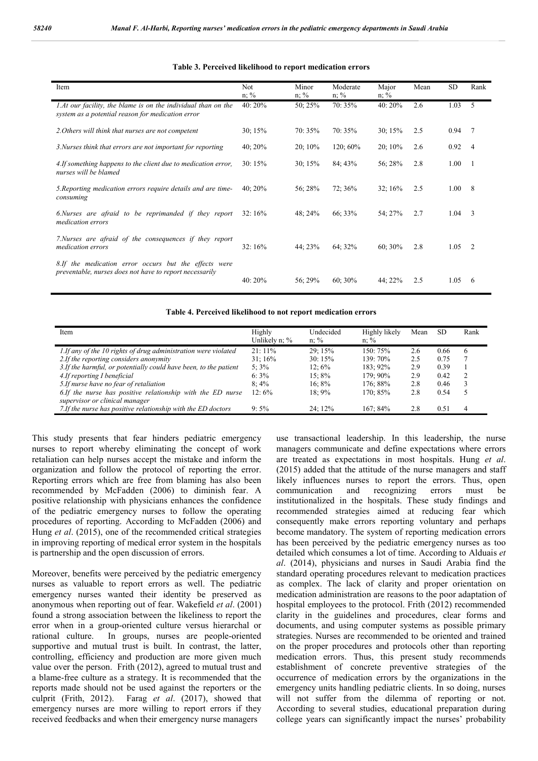| Item                                                                                                               | Not<br>$n$ ; % | Minor<br>$n$ ; % | Moderate<br>$n$ ; % | Major<br>$n$ ; % | Mean | <b>SD</b> | Rank           |
|--------------------------------------------------------------------------------------------------------------------|----------------|------------------|---------------------|------------------|------|-----------|----------------|
| 1.At our facility, the blame is on the individual than on the<br>system as a potential reason for medication error | 40:20%         | 50;25%           | 70:35%              | 40:20%           | 2.6  | 1.03      | 5              |
| 2. Others will think that nurses are not competent                                                                 | 30; 15%        | $70:35\%$        | 70:35%              | 30:15%           | 2.5  | 0.94      | 7              |
| 3. Nurses think that errors are not important for reporting                                                        | 40;20%         | $20:10\%$        | $120:60\%$          | $20:10\%$        | 2.6  | 0.92      | $\overline{4}$ |
| 4. If something happens to the client due to medication error,<br>nurses will be blamed                            | 30:15%         | 30; 15%          | 84:43%              | 56; 28%          | 2.8  | 1.00      | -1             |
| 5. Reporting medication errors require details and are time-<br>consuming                                          | 40:20%         | 56:28%           | 72; 36%             | 32:16%           | 2.5  | 1.00      | 8              |
| 6. Nurses are afraid to be reprimanded if they report<br>medication errors                                         | 32:16%         | 48: 24%          | 66; 33%             | 54: 27%          | 2.7  | 1.04      | 3              |
| 7. Nurses are afraid of the consequences if they report<br>medication errors                                       | 32:16%         | 44: 23%          | 64: 32%             | 60;30%           | 2.8  | 1.05      | 2              |
| 8.If the medication error occurs but the effects were<br>preventable, nurses does not have to report necessarily   | 40: 20%        | 56:29%           | $60:30\%$           | 44: 22%          | 2.5  | 1.05      | 6              |

#### **Table 3. Perceived likelihood to report medication errors**

**Table 4. Perceived likelihood to not report medication errors**

| Item                                                                                         | Highly<br>Unlikely $n: \%$ | Undecided<br>$n$ ; % | Highly likely<br>$n: \%$ | Mean | <b>SD</b> | Rank           |
|----------------------------------------------------------------------------------------------|----------------------------|----------------------|--------------------------|------|-----------|----------------|
| 1.If any of the 10 rights of drug administration were violated                               | $21:11\%$                  | 29:15%               | $150:75\%$               | 2.6  | 0.66      | 6              |
| 2. If the reporting considers anonymity                                                      | 31:16%                     | 30:15%               | $139:70\%$               | 2.5  | 0.75      |                |
| 3.If the harmful, or potentially could have been, to the patient                             | $5:3\%$                    | $12:6\%$             | 183: 92%                 | 2.9  | 0.39      |                |
| 4. If reporting I beneficial                                                                 | $6:3\%$                    | $15:8\%$             | 179: 90%                 | 2.9  | 0.42      | $\overline{2}$ |
| 5. If nurse have no fear of retaliation                                                      | $8:4\%$                    | $16:8\%$             | 176: 88%                 | 2.8  | 0.46      |                |
| 6.If the nurse has positive relationship with the ED nurse<br>supervisor or clinical manager | $12:6\%$                   | $18:9\%$             | 170: 85%                 | 2.8  | 0.54      |                |
| 7. If the nurse has positive relationship with the ED doctors                                | $9:5\%$                    | $24:12\%$            | 167:84%                  | 2.8  | 0.51      | 4              |

This study presents that fear hinders pediatric emergency nurses to report whereby eliminating the concept of work retaliation can help nurses accept the mistake and inform the organization and follow the protocol of reporting the error. Reporting errors which are free from blaming has also been recommended by McFadden (2006) to diminish fear. A positive relationship with physicians enhances the confidence of the pediatric emergency nurses to follow the operating procedures of reporting. According to McFadden (2006) and Hung *et al*. (2015), one of the recommended critical strategies in improving reporting of medical error system in the hospitals is partnership and the open discussion of errors.

Moreover, benefits were perceived by the pediatric emergency nurses as valuable to report errors as well. The pediatric emergency nurses wanted their identity be preserved as anonymous when reporting out of fear. Wakefield *et al*. (2001) found a strong association between the likeliness to report the error when in a group-oriented culture versus hierarchal or rational culture. In groups, nurses are people-oriented supportive and mutual trust is built. In contrast, the latter, controlling, efficiency and production are more given much value over the person. Frith (2012), agreed to mutual trust and a blame-free culture as a strategy. It is recommended that the reports made should not be used against the reporters or the culprit (Frith, 2012). Farag *et al*. (2017), showed that emergency nurses are more willing to report errors if they received feedbacks and when their emergency nurse managers

use transactional leadership. In this leadership, the nurse managers communicate and define expectations where errors are treated as expectations in most hospitals. Hung *et al*. (2015) added that the attitude of the nurse managers and staff likely influences nurses to report the errors. Thus, open communication and recognizing errors must be institutionalized in the hospitals. These study findings and recommended strategies aimed at reducing fear which consequently make errors reporting voluntary and perhaps become mandatory. The system of reporting medication errors has been perceived by the pediatric emergency nurses as too detailed which consumes a lot of time. According to Alduais *et al*. (2014), physicians and nurses in Saudi Arabia find the standard operating procedures relevant to medication practices as complex. The lack of clarity and proper orientation on medication administration are reasons to the poor adaptation of hospital employees to the protocol. Frith (2012) recommended clarity in the guidelines and procedures, clear forms and documents, and using computer systems as possible primary strategies. Nurses are recommended to be oriented and trained on the proper procedures and protocols other than reporting medication errors. Thus, this present study recommends establishment of concrete preventive strategies of the occurrence of medication errors by the organizations in the emergency units handling pediatric clients. In so doing, nurses will not suffer from the dilemma of reporting or not. According to several studies, educational preparation during college years can significantly impact the nurses' probability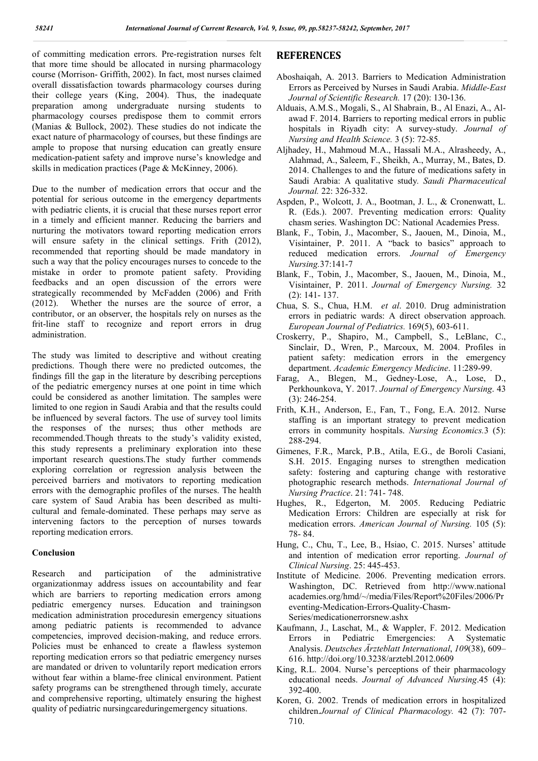of committing medication errors. Pre-registration nurses felt that more time should be allocated in nursing pharmacology course (Morrison- Griffith, 2002). In fact, most nurses claimed overall dissatisfaction towards pharmacology courses during their college years (King, 2004). Thus, the inadequate preparation among undergraduate nursing students to pharmacology courses predispose them to commit errors (Manias & Bullock, 2002). These studies do not indicate the exact nature of pharmacology of courses, but these findings are ample to propose that nursing education can greatly ensure medication-patient safety and improve nurse's knowledge and skills in medication practices (Page & McKinney, 2006).

Due to the number of medication errors that occur and the potential for serious outcome in the emergency departments with pediatric clients, it is crucial that these nurses report error in a timely and efficient manner. Reducing the barriers and nurturing the motivators toward reporting medication errors will ensure safety in the clinical settings. Frith (2012), recommended that reporting should be made mandatory in such a way that the policy encourages nurses to concede to the mistake in order to promote patient safety. Providing feedbacks and an open discussion of the errors were strategically recommended by McFadden (2006) and Frith (2012). Whether the nurses are the source of error, a contributor, or an observer, the hospitals rely on nurses as the frit-line staff to recognize and report errors in drug administration.

The study was limited to descriptive and without creating predictions. Though there were no predicted outcomes, the findings fill the gap in the literature by describing perceptions of the pediatric emergency nurses at one point in time which could be considered as another limitation. The samples were limited to one region in Saudi Arabia and that the results could be influenced by several factors. The use of survey tool limits the responses of the nurses; thus other methods are recommended.Though threats to the study's validity existed, this study represents a preliminary exploration into these important research questions.The study further commends exploring correlation or regression analysis between the perceived barriers and motivators to reporting medication errors with the demographic profiles of the nurses. The health care system of Saud Arabia has been described as multicultural and female-dominated. These perhaps may serve as intervening factors to the perception of nurses towards reporting medication errors.

### **Conclusion**

Research and participation of the administrative organizationmay address issues on accountability and fear which are barriers to reporting medication errors among pediatric emergency nurses. Education and trainingson medication administration proceduresin emergency situations among pediatric patients is recommended to advance competencies, improved decision-making, and reduce errors. Policies must be enhanced to create a flawless systemon reporting medication errors so that pediatric emergency nurses are mandated or driven to voluntarily report medication errors without fear within a blame-free clinical environment. Patient safety programs can be strengthened through timely, accurate and comprehensive reporting, ultimately ensuring the highest quality of pediatric nursingcareduringemergency situations.

# **REFERENCES**

- Aboshaiqah, A. 2013. Barriers to Medication Administration Errors as Perceived by Nurses in Saudi Arabia. *Middle-East Journal of Scientific Research.* 17 (20): 130-136.
- Alduais, A.M.S., Mogali, S., Al Shabrain, B., Al Enazi, A., Alawad F. 2014. Barriers to reporting medical errors in public hospitals in Riyadh city: A survey-study. *Journal of Nursing and Health Science.* 3 (5): 72-85.
- Aljhadey, H., Mahmoud M.A., Hassali M.A., Alrasheedy, A., Alahmad, A., Saleem, F., Sheikh, A., Murray, M., Bates, D. 2014. Challenges to and the future of medications safety in Saudi Arabia: A qualitative study*. Saudi Pharmaceutical Journal.* 22: 326-332.
- Aspden, P., Wolcott, J. A., Bootman, J. L., & Cronenwatt, L. R. (Eds.). 2007. Preventing medication errors: Quality chasm series. Washington DC: National Academies Press.
- Blank, F., Tobin, J., Macomber, S., Jaouen, M., Dinoia, M., Visintainer, P. 2011. A "back to basics" approach to reduced medication errors. *Journal of Emergency Nursing.*37:141-7
- Blank, F., Tobin, J., Macomber, S., Jaouen, M., Dinoia, M., Visintainer, P. 2011. *Journal of Emergency Nursing.* 32 (2): 141- 137.
- Chua, S. S., Chua, H.M. *et al*. 2010. Drug administration errors in pediatric wards: A direct observation approach. *European Journal of Pediatrics.* 169(5), 603-611.
- Croskerry, P., Shapiro, M., Campbell, S., LeBlanc, C., Sinclair, D., Wren, P., Marcoux, M. 2004. Profiles in patient safety: medication errors in the emergency department. *Academic Emergency Medicine*. 11:289-99.
- Farag, A., Blegen, M., Gedney-Lose, A., Lose, D., Perkhounkova, Y. 2017. *Journal of Emergency Nursing*. 43 (3): 246-254.
- Frith, K.H., Anderson, E., Fan, T., Fong, E.A. 2012. Nurse staffing is an important strategy to prevent medication errors in community hospitals. *Nursing Economics.*3 (5): 288-294.
- Gimenes, F.R., Marck, P.B., Atila, E.G., de Boroli Casiani, S.H. 2015. Engaging nurses to strengthen medication safety: fostering and capturing change with restorative photographic research methods. *International Journal of Nursing Practice*. 21: 741- 748.
- Hughes, R., Edgerton, M. 2005. Reducing Pediatric Medication Errors: Children are especially at risk for medication errors. *American Journal of Nursing.* 105 (5): 78- 84.
- Hung, C., Chu, T., Lee, B., Hsiao, C. 2015. Nurses' attitude and intention of medication error reporting. *Journal of Clinical Nursing*. 25: 445-453.
- Institute of Medicine. 2006. Preventing medication errors. Washington, DC. Retrieved from http://www.national academies.org/hmd/~/media/Files/Report%20Files/2006/Pr eventing-Medication-Errors-Quality-Chasm-Series/medicationerrorsnew.ashx
- Kaufmann, J., Laschat, M., & Wappler, F. 2012. Medication Errors in Pediatric Emergencies: A Systematic Analysis. *Deutsches Ärzteblatt International*, *109*(38), 609– 616. http://doi.org/10.3238/arztebl.2012.0609
- King, R.L. 2004. Nurse's perceptions of their pharmacology educational needs. *Journal of Advanced Nursing*.45 (4): 392-400.
- Koren, G. 2002. Trends of medication errors in hospitalized children.*Journal of Clinical Pharmacology.* 42 (7): 707- 710.